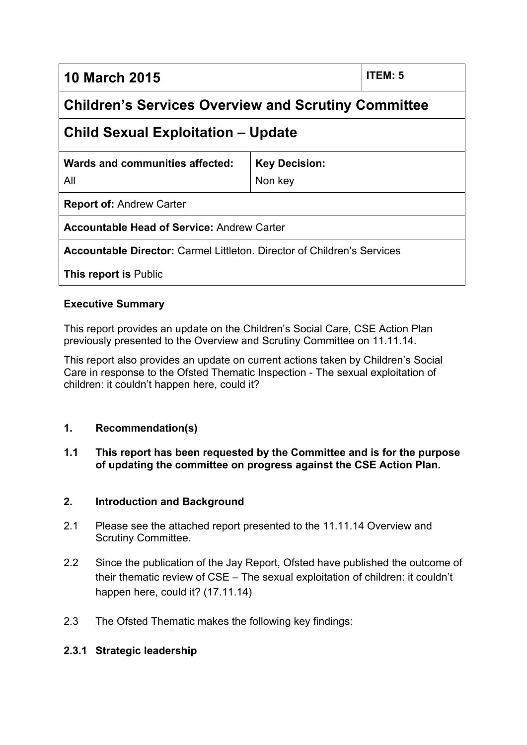**10 March 2015 ITEM: 5**

# **Children's Services Overview and Scrutiny Committee**

# **Child Sexual Exploitation – Update**

| Wards and communities affected:<br>All            | <b>Key Decision:</b><br>Non key |
|---------------------------------------------------|---------------------------------|
| <b>Report of: Andrew Carter</b>                   |                                 |
| <b>Accountable Head of Service: Andrew Carter</b> |                                 |

**Accountable Director:** Carmel Littleton. Director of Children's Services

**This report is** Public

#### **Executive Summary**

This report provides an update on the Children's Social Care, CSE Action Plan previously presented to the Overview and Scrutiny Committee on 11.11.14.

This report also provides an update on current actions taken by Children's Social Care in response to the Ofsted Thematic Inspection - The sexual exploitation of children: it couldn't happen here, could it?

# **1. Recommendation(s)**

#### **1.1 This report has been requested by the Committee and is for the purpose of updating the committee on progress against the CSE Action Plan.**

#### **2. Introduction and Background**

- 2.1 Please see the attached report presented to the 11.11.14 Overview and Scrutiny Committee.
- 2.2 Since the publication of the Jay Report, Ofsted have published the outcome of their thematic review of CSE – The sexual exploitation of children: it couldn't happen here, could it? (17.11.14)
- 2.3 The Ofsted Thematic makes the following key findings:

#### **2.3.1 Strategic leadership**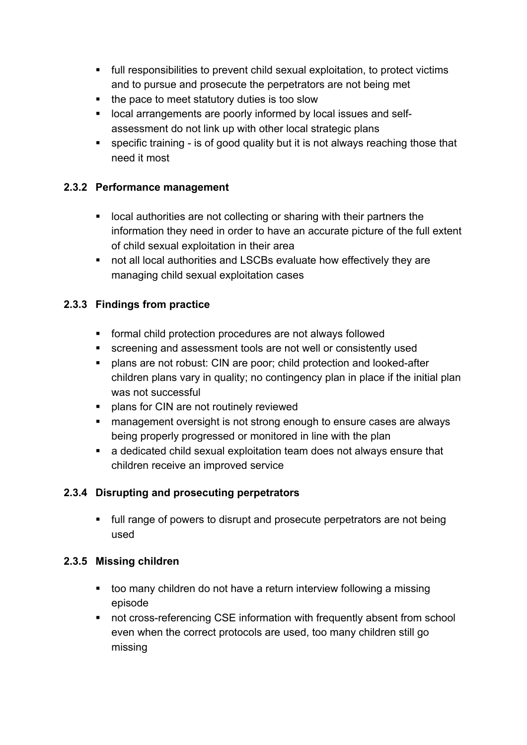- full responsibilities to prevent child sexual exploitation, to protect victims and to pursue and prosecute the perpetrators are not being met
- $\blacksquare$  the pace to meet statutory duties is too slow
- local arrangements are poorly informed by local issues and selfassessment do not link up with other local strategic plans
- specific training is of good quality but it is not always reaching those that need it most

# **2.3.2 Performance management**

- **If** local authorities are not collecting or sharing with their partners the information they need in order to have an accurate picture of the full extent of child sexual exploitation in their area
- not all local authorities and LSCBs evaluate how effectively they are managing child sexual exploitation cases

# **2.3.3 Findings from practice**

- formal child protection procedures are not always followed
- screening and assessment tools are not well or consistently used
- plans are not robust: CIN are poor; child protection and looked-after children plans vary in quality; no contingency plan in place if the initial plan was not successful
- plans for CIN are not routinely reviewed
- management oversight is not strong enough to ensure cases are always being properly progressed or monitored in line with the plan
- a dedicated child sexual exploitation team does not always ensure that children receive an improved service

# **2.3.4 Disrupting and prosecuting perpetrators**

 full range of powers to disrupt and prosecute perpetrators are not being used

# **2.3.5 Missing children**

- too many children do not have a return interview following a missing episode
- not cross-referencing CSE information with frequently absent from school even when the correct protocols are used, too many children still go missing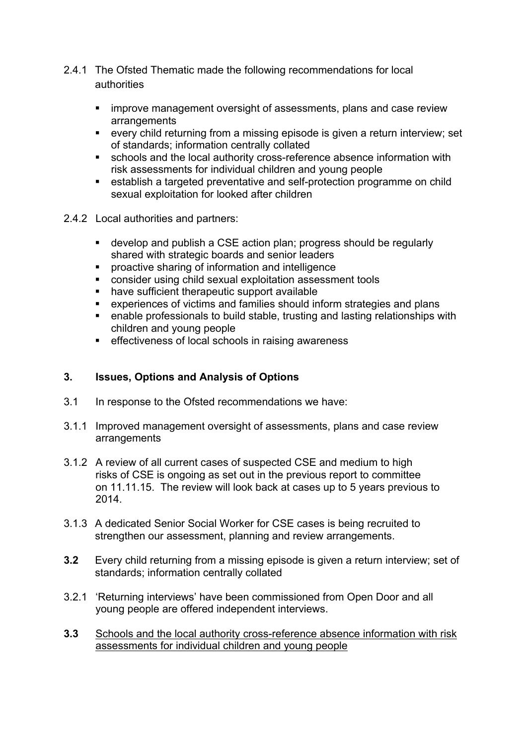- 2.4.1 The Ofsted Thematic made the following recommendations for local authorities
	- improve management oversight of assessments, plans and case review arrangements
	- every child returning from a missing episode is given a return interview; set of standards; information centrally collated
	- schools and the local authority cross-reference absence information with risk assessments for individual children and young people
	- establish a targeted preventative and self-protection programme on child sexual exploitation for looked after children
- 2.4.2 Local authorities and partners:
	- develop and publish a CSE action plan; progress should be regularly shared with strategic boards and senior leaders
	- **•** proactive sharing of information and intelligence
	- consider using child sexual exploitation assessment tools
	- have sufficient therapeutic support available
	- experiences of victims and families should inform strategies and plans
	- enable professionals to build stable, trusting and lasting relationships with children and young people
	- **EXECT** effectiveness of local schools in raising awareness

# **3. Issues, Options and Analysis of Options**

- 3.1 In response to the Ofsted recommendations we have:
- 3.1.1 Improved management oversight of assessments, plans and case review arrangements
- 3.1.2 A review of all current cases of suspected CSE and medium to high risks of CSE is ongoing as set out in the previous report to committee on 11.11.15. The review will look back at cases up to 5 years previous to 2014.
- 3.1.3 A dedicated Senior Social Worker for CSE cases is being recruited to strengthen our assessment, planning and review arrangements.
- **3.2** Every child returning from a missing episode is given a return interview; set of standards; information centrally collated
- 3.2.1 'Returning interviews' have been commissioned from Open Door and all young people are offered independent interviews.
- **3.3** Schools and the local authority cross-reference absence information with risk assessments for individual children and young people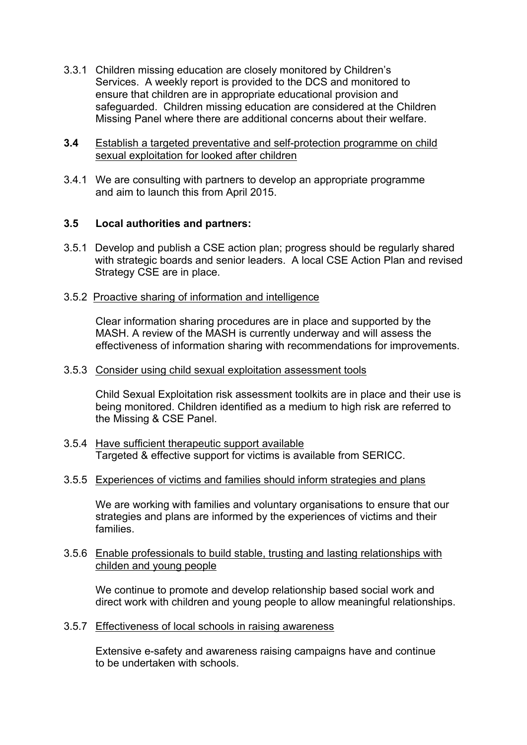- 3.3.1 Children missing education are closely monitored by Children's Services. A weekly report is provided to the DCS and monitored to ensure that children are in appropriate educational provision and safeguarded. Children missing education are considered at the Children Missing Panel where there are additional concerns about their welfare.
- **3.4** Establish a targeted preventative and self-protection programme on child sexual exploitation for looked after children
- 3.4.1 We are consulting with partners to develop an appropriate programme and aim to launch this from April 2015.

#### **3.5 Local authorities and partners:**

3.5.1 Develop and publish a CSE action plan; progress should be regularly shared with strategic boards and senior leaders. A local CSE Action Plan and revised Strategy CSE are in place.

#### 3.5.2 Proactive sharing of information and intelligence

Clear information sharing procedures are in place and supported by the MASH. A review of the MASH is currently underway and will assess the effectiveness of information sharing with recommendations for improvements.

#### 3.5.3 Consider using child sexual exploitation assessment tools

Child Sexual Exploitation risk assessment toolkits are in place and their use is being monitored. Children identified as a medium to high risk are referred to the Missing & CSE Panel.

- 3.5.4 Have sufficient therapeutic support available Targeted & effective support for victims is available from SERICC.
- 3.5.5 Experiences of victims and families should inform strategies and plans

We are working with families and voluntary organisations to ensure that our strategies and plans are informed by the experiences of victims and their families.

#### 3.5.6 Enable professionals to build stable, trusting and lasting relationships with childen and young people

We continue to promote and develop relationship based social work and direct work with children and young people to allow meaningful relationships.

3.5.7 Effectiveness of local schools in raising awareness

Extensive e-safety and awareness raising campaigns have and continue to be undertaken with schools.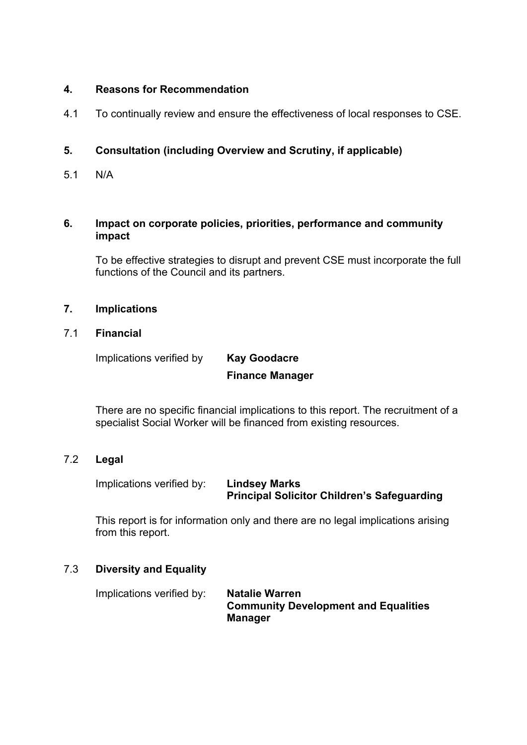#### **4. Reasons for Recommendation**

4.1 To continually review and ensure the effectiveness of local responses to CSE.

# **5. Consultation (including Overview and Scrutiny, if applicable)**

5.1 N/A

#### **6. Impact on corporate policies, priorities, performance and community impact**

To be effective strategies to disrupt and prevent CSE must incorporate the full functions of the Council and its partners.

#### **7. Implications**

#### 7.1 **Financial**

Implications verified by **Kay Goodacre**

# **Finance Manager**

There are no specific financial implications to this report. The recruitment of a specialist Social Worker will be financed from existing resources.

# 7.2 **Legal**

Implications verified by: **Lindsey Marks**

**Principal Solicitor Children's Safeguarding**

This report is for information only and there are no legal implications arising from this report.

# 7.3 **Diversity and Equality**

Implications verified by: **Natalie Warren Community Development and Equalities Manager**